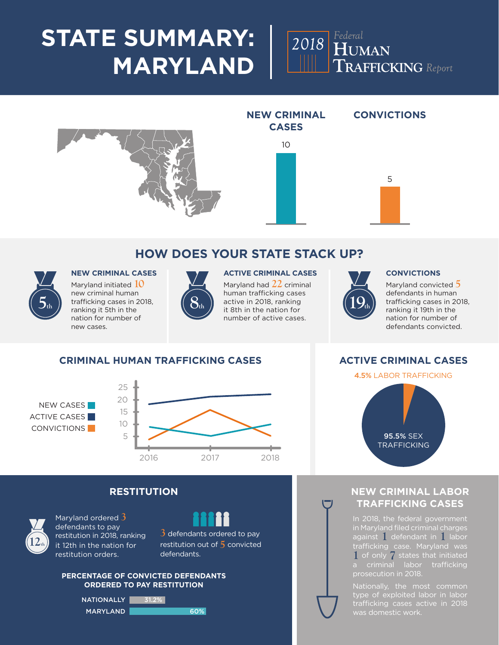## **STATE SUMMARY: MARYLAND**





### **HOW DOES YOUR STATE STACK UP?**



Maryland initiated **10** new criminal human trafficking cases in 2018, ranking it 5th in the nation for number of new cases.



#### **NEW CRIMINAL CASES ACTIVE CRIMINAL CASES CONVICTIONS**

Maryland had **22** criminal human trafficking cases active in 2018, ranking it 8th in the nation for number of active cases.



Maryland convicted **5** defendants in human trafficking cases in 2018, ranking it 19th in the nation for number of defendants convicted.

#### **CRIMINAL HUMAN TRAFFICKING CASES**





#### **RESTITUTION**



Maryland ordered **3** defendants to pay restitution in 2018, ranking it 12th in the nation for restitution orders.

**3** defendants ordered to pay restitution out of **5** convicted defendants.

#### **PERCENTAGE OF CONVICTED DEFENDANTS ORDERED TO PAY RESTITUTION**

NATIONALLY 31.2% MARYLAND 60%



**ACTIVE CRIMINAL CASES**

# 4.5% LABOR TRAFFICKING 95.5% SEX TRAFFICKING

### **NEW CRIMINAL LABOR TRAFFICKING CASES**

In 2018, the federal government in Maryland filed criminal charges against **1** defendant in **1** labor **1** of only **7** states that initiated prosecution in 2018.

type of exploited labor in labor trafficking cases active in 2018 was domestic work.